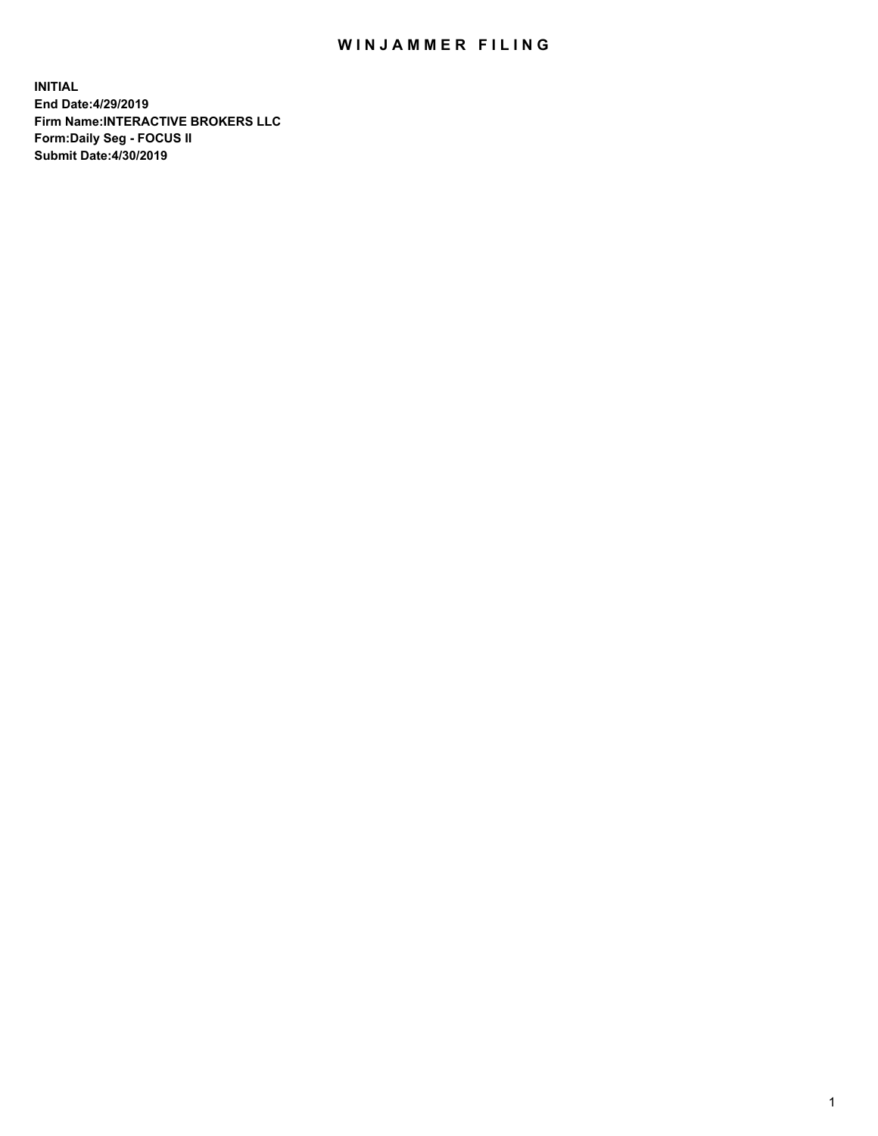## WIN JAMMER FILING

**INITIAL End Date:4/29/2019 Firm Name:INTERACTIVE BROKERS LLC Form:Daily Seg - FOCUS II Submit Date:4/30/2019**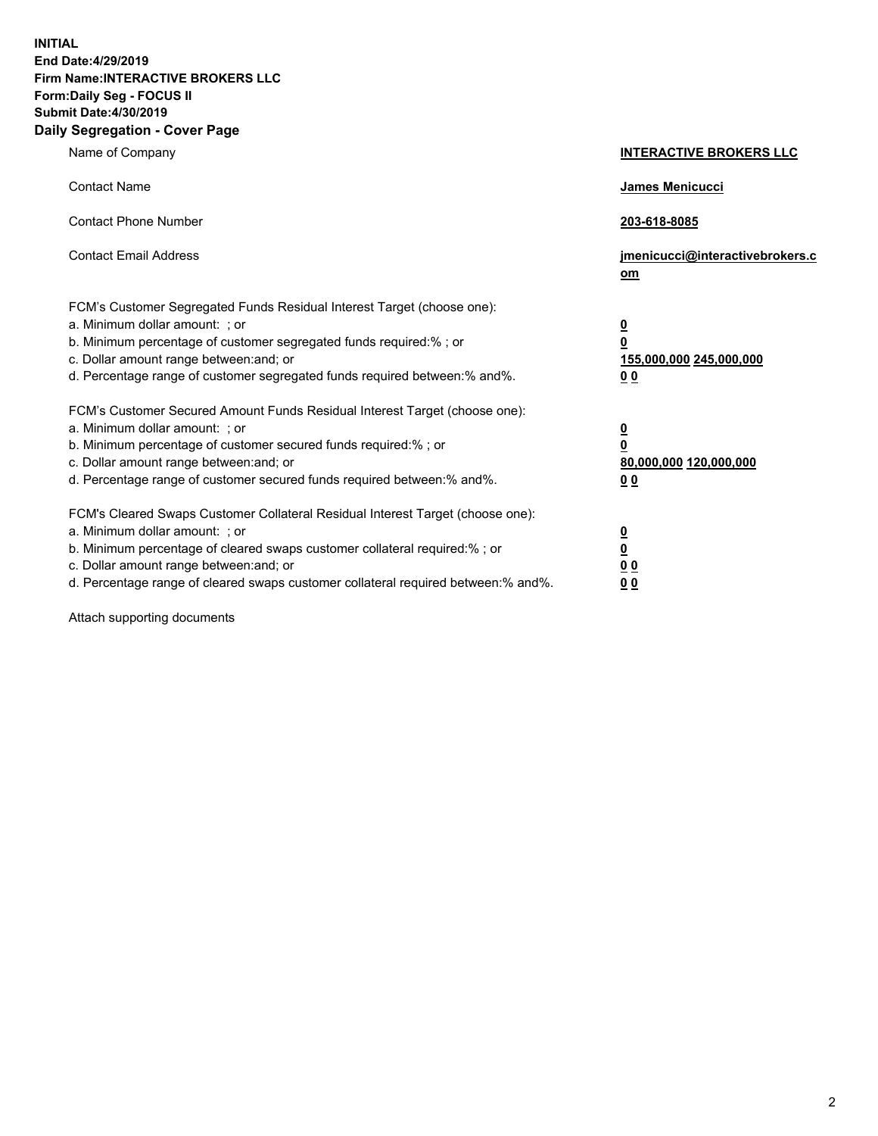**INITIAL End Date:4/29/2019 Firm Name:INTERACTIVE BROKERS LLC Form:Daily Seg - FOCUS II Submit Date:4/30/2019 Daily Segregation - Cover Page**

| Name of Company                                                                                                                                                                                                                                                                                                                | <b>INTERACTIVE BROKERS LLC</b>                                                                  |
|--------------------------------------------------------------------------------------------------------------------------------------------------------------------------------------------------------------------------------------------------------------------------------------------------------------------------------|-------------------------------------------------------------------------------------------------|
| <b>Contact Name</b>                                                                                                                                                                                                                                                                                                            | James Menicucci                                                                                 |
| <b>Contact Phone Number</b>                                                                                                                                                                                                                                                                                                    | 203-618-8085                                                                                    |
| <b>Contact Email Address</b>                                                                                                                                                                                                                                                                                                   | jmenicucci@interactivebrokers.c<br>om                                                           |
| FCM's Customer Segregated Funds Residual Interest Target (choose one):<br>a. Minimum dollar amount: ; or<br>b. Minimum percentage of customer segregated funds required:% ; or<br>c. Dollar amount range between: and; or<br>d. Percentage range of customer segregated funds required between:% and%.                         | $\overline{\mathbf{0}}$<br>$\overline{\mathbf{0}}$<br>155,000,000 245,000,000<br>0 <sub>0</sub> |
| FCM's Customer Secured Amount Funds Residual Interest Target (choose one):<br>a. Minimum dollar amount: ; or<br>b. Minimum percentage of customer secured funds required:% ; or<br>c. Dollar amount range between: and; or<br>d. Percentage range of customer secured funds required between:% and%.                           | $\overline{\mathbf{0}}$<br>0<br>80,000,000 120,000,000<br>0 <sub>0</sub>                        |
| FCM's Cleared Swaps Customer Collateral Residual Interest Target (choose one):<br>a. Minimum dollar amount: ; or<br>b. Minimum percentage of cleared swaps customer collateral required:% ; or<br>c. Dollar amount range between: and; or<br>d. Percentage range of cleared swaps customer collateral required between:% and%. | $\overline{\mathbf{0}}$<br><u>0</u><br>$\underline{0}$ $\underline{0}$<br>00                    |

Attach supporting documents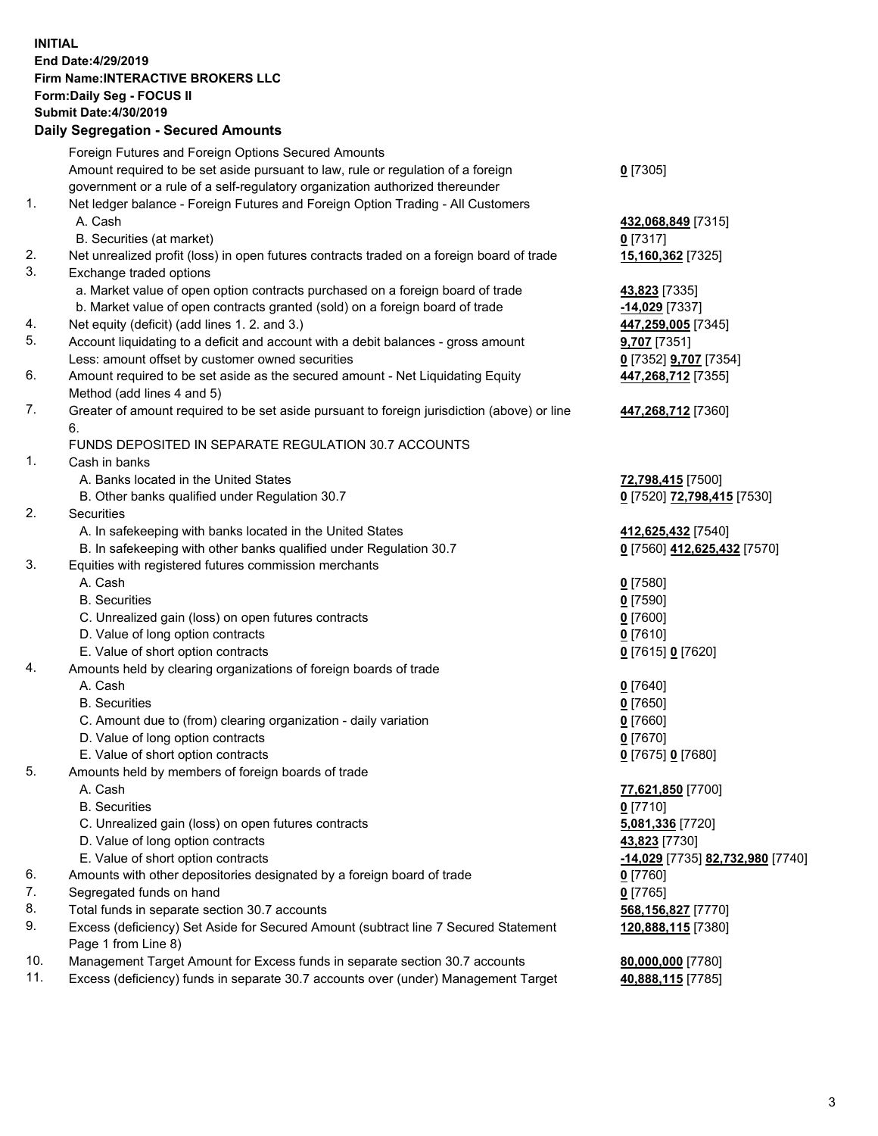## **INITIAL End Date:4/29/2019 Firm Name:INTERACTIVE BROKERS LLC Form:Daily Seg - FOCUS II Submit Date:4/30/2019 Daily Segregation - Secured Amounts**

|                | Dany Segregation - Secured Announts                                                                |                                                |
|----------------|----------------------------------------------------------------------------------------------------|------------------------------------------------|
|                | Foreign Futures and Foreign Options Secured Amounts                                                |                                                |
|                | Amount required to be set aside pursuant to law, rule or regulation of a foreign                   | $0$ [7305]                                     |
|                | government or a rule of a self-regulatory organization authorized thereunder                       |                                                |
| $\mathbf{1}$ . | Net ledger balance - Foreign Futures and Foreign Option Trading - All Customers                    |                                                |
|                | A. Cash                                                                                            | 432,068,849 [7315]                             |
|                | B. Securities (at market)                                                                          | $0$ [7317]                                     |
| 2.             | Net unrealized profit (loss) in open futures contracts traded on a foreign board of trade          | 15,160,362 [7325]                              |
| 3.             | Exchange traded options                                                                            |                                                |
|                | a. Market value of open option contracts purchased on a foreign board of trade                     | 43,823 [7335]                                  |
|                | b. Market value of open contracts granted (sold) on a foreign board of trade                       | -14,029 [7337]                                 |
| 4.             | Net equity (deficit) (add lines 1. 2. and 3.)                                                      | 447,259,005 [7345]                             |
| 5.             | Account liquidating to a deficit and account with a debit balances - gross amount                  | 9,707 [7351]                                   |
|                | Less: amount offset by customer owned securities                                                   | 0 [7352] 9,707 [7354]                          |
| 6.             | Amount required to be set aside as the secured amount - Net Liquidating Equity                     | 447,268,712 [7355]                             |
| 7.             | Method (add lines 4 and 5)                                                                         |                                                |
|                | Greater of amount required to be set aside pursuant to foreign jurisdiction (above) or line<br>6.  | 447,268,712 [7360]                             |
|                | FUNDS DEPOSITED IN SEPARATE REGULATION 30.7 ACCOUNTS                                               |                                                |
| 1.             | Cash in banks                                                                                      |                                                |
|                | A. Banks located in the United States                                                              | 72,798,415 [7500]                              |
|                | B. Other banks qualified under Regulation 30.7                                                     | 0 [7520] 72,798,415 [7530]                     |
| 2.             | <b>Securities</b>                                                                                  |                                                |
|                | A. In safekeeping with banks located in the United States                                          | 412,625,432 [7540]                             |
|                | B. In safekeeping with other banks qualified under Regulation 30.7                                 | 0 [7560] 412,625,432 [7570]                    |
| 3.             | Equities with registered futures commission merchants                                              |                                                |
|                | A. Cash                                                                                            | $0$ [7580]                                     |
|                | <b>B.</b> Securities                                                                               | $0$ [7590]                                     |
|                | C. Unrealized gain (loss) on open futures contracts                                                | $0$ [7600]                                     |
|                | D. Value of long option contracts                                                                  | $0$ [7610]                                     |
|                | E. Value of short option contracts                                                                 | 0 [7615] 0 [7620]                              |
| 4.             | Amounts held by clearing organizations of foreign boards of trade                                  |                                                |
|                | A. Cash                                                                                            | $0$ [7640]                                     |
|                | <b>B.</b> Securities                                                                               | $0$ [7650]                                     |
|                | C. Amount due to (from) clearing organization - daily variation                                    | $0$ [7660]                                     |
|                | D. Value of long option contracts                                                                  | $0$ [7670]                                     |
|                | E. Value of short option contracts                                                                 | 0 [7675] 0 [7680]                              |
| 5.             | Amounts held by members of foreign boards of trade                                                 |                                                |
|                | A. Cash                                                                                            | 77,621,850 [7700]                              |
|                | <b>B.</b> Securities                                                                               | $0$ [7710]                                     |
|                | C. Unrealized gain (loss) on open futures contracts                                                | 5,081,336 [7720]                               |
|                | D. Value of long option contracts                                                                  | 43,823 [7730]                                  |
|                | E. Value of short option contracts                                                                 | <u>-14,029</u> [7735] <u>82,732,980</u> [7740] |
| 6.             | Amounts with other depositories designated by a foreign board of trade                             | 0 [7760]                                       |
| 7.             | Segregated funds on hand                                                                           | $0$ [7765]                                     |
| 8.             | Total funds in separate section 30.7 accounts                                                      | 568,156,827 [7770]                             |
| 9.             | Excess (deficiency) Set Aside for Secured Amount (subtract line 7 Secured Statement                | 120,888,115 [7380]                             |
| 10.            | Page 1 from Line 8)<br>Management Target Amount for Excess funds in separate section 30.7 accounts |                                                |
| 11.            | Excess (deficiency) funds in separate 30.7 accounts over (under) Management Target                 | 80,000,000 [7780]<br>40,888,115 [7785]         |
|                |                                                                                                    |                                                |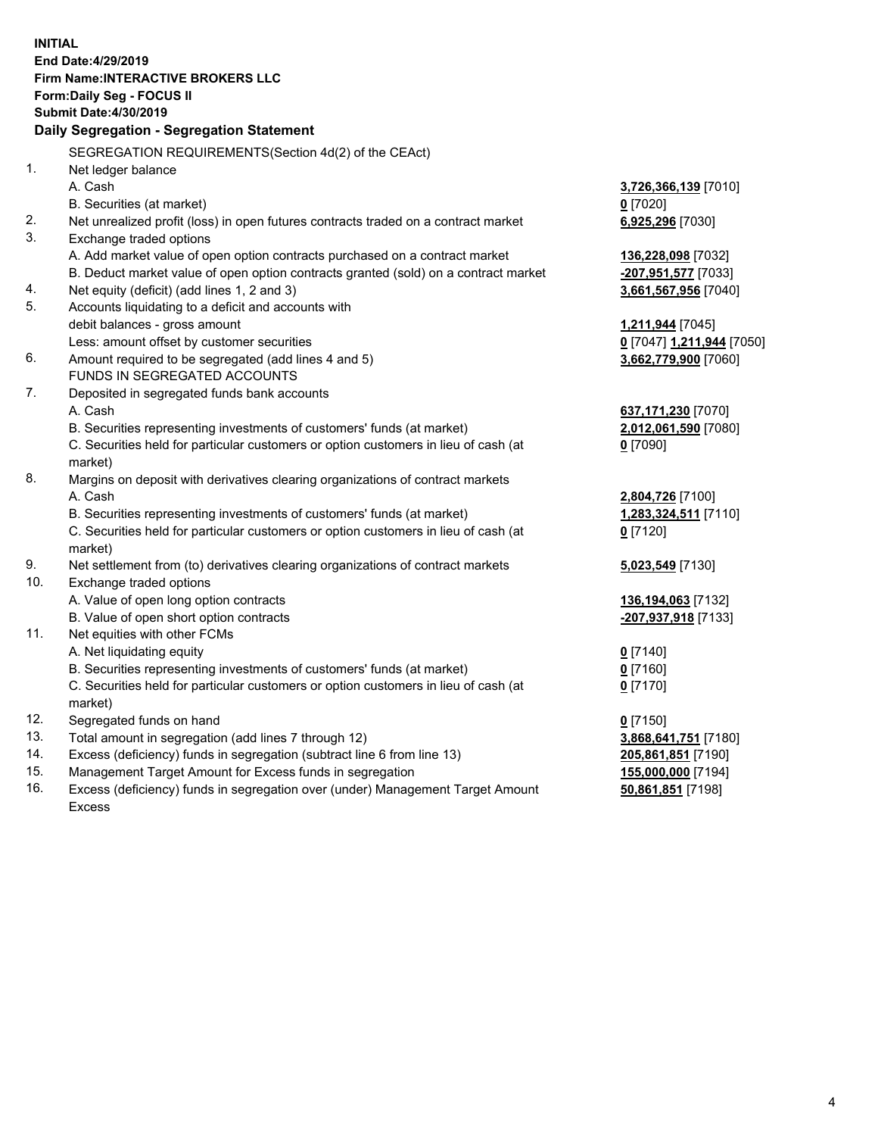**INITIAL End Date:4/29/2019 Firm Name:INTERACTIVE BROKERS LLC Form:Daily Seg - FOCUS II Submit Date:4/30/2019 Daily Segregation - Segregation Statement** SEGREGATION REQUIREMENTS(Section 4d(2) of the CEAct) 1. Net ledger balance A. Cash **3,726,366,139** [7010] B. Securities (at market) **0** [7020] 2. Net unrealized profit (loss) in open futures contracts traded on a contract market **6,925,296** [7030] 3. Exchange traded options A. Add market value of open option contracts purchased on a contract market **136,228,098** [7032] B. Deduct market value of open option contracts granted (sold) on a contract market **-207,951,577** [7033] 4. Net equity (deficit) (add lines 1, 2 and 3) **3,661,567,956** [7040] 5. Accounts liquidating to a deficit and accounts with debit balances - gross amount **1,211,944** [7045] Less: amount offset by customer securities **0** [7047] **1,211,944** [7050] 6. Amount required to be segregated (add lines 4 and 5) **3,662,779,900** [7060] FUNDS IN SEGREGATED ACCOUNTS 7. Deposited in segregated funds bank accounts A. Cash **637,171,230** [7070] B. Securities representing investments of customers' funds (at market) **2,012,061,590** [7080] C. Securities held for particular customers or option customers in lieu of cash (at market) **0** [7090] 8. Margins on deposit with derivatives clearing organizations of contract markets A. Cash **2,804,726** [7100] B. Securities representing investments of customers' funds (at market) **1,283,324,511** [7110] C. Securities held for particular customers or option customers in lieu of cash (at market) **0** [7120] 9. Net settlement from (to) derivatives clearing organizations of contract markets **5,023,549** [7130] 10. Exchange traded options A. Value of open long option contracts **136,194,063** [7132] B. Value of open short option contracts **-207,937,918** [7133] 11. Net equities with other FCMs A. Net liquidating equity **0** [7140] B. Securities representing investments of customers' funds (at market) **0** [7160] C. Securities held for particular customers or option customers in lieu of cash (at market) **0** [7170] 12. Segregated funds on hand **0** [7150] 13. Total amount in segregation (add lines 7 through 12) **3,868,641,751** [7180] 14. Excess (deficiency) funds in segregation (subtract line 6 from line 13) **205,861,851** [7190] 15. Management Target Amount for Excess funds in segregation **155,000,000** [7194]

16. Excess (deficiency) funds in segregation over (under) Management Target Amount Excess

**50,861,851** [7198]